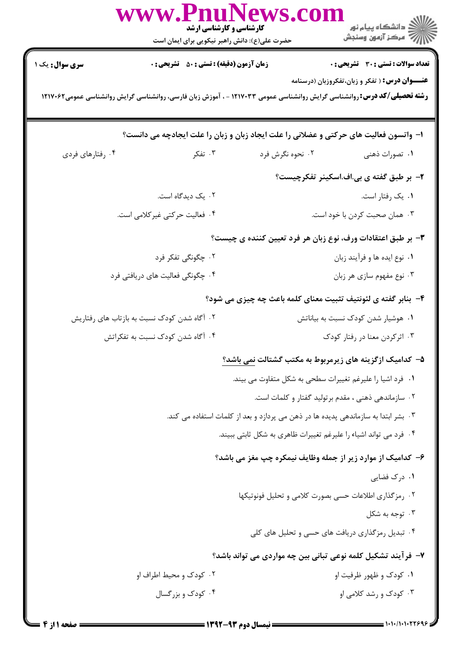|                                                                                                                                                                                          | www.PnuNews.co<br><b>کارشناسی و کارشناسی ارشد</b><br>حضرت علی(ع): دانش راهبر نیکویی برای ایمان است |                  | ِ∑ دانشڪاه پيام نور<br>/√ مرڪز آزمون وسنجش                                            |  |
|------------------------------------------------------------------------------------------------------------------------------------------------------------------------------------------|----------------------------------------------------------------------------------------------------|------------------|---------------------------------------------------------------------------------------|--|
| <b>سری سوال :</b> یک ۱                                                                                                                                                                   | <b>زمان آزمون (دقیقه) : تستی : 50 ٪ تشریحی : 0</b>                                                 |                  | <b>تعداد سوالات : تستی : 30 ٪ تشریحی : 0</b>                                          |  |
| <b>عنـــوان درس:</b> ( تفکر و زبان،تفکروزبان (درسنامه<br><b>رشته تحصیلی/کد درس:</b> روانشناسی گرایش روانشناسی عمومی ۱۲۱۷۰۳۳ - ، آموزش زبان فارسی، روانشناسی گرایش روانشناسی عمومی۱۲۱۷۰۶۲ |                                                                                                    |                  |                                                                                       |  |
|                                                                                                                                                                                          |                                                                                                    |                  | ۱- واتسون فعالیت های حرکتی و عضلانی را علت ایجاد زبان و زبان را علت ایجادچه می دانست؟ |  |
| ۰۴ رفتارهای فردی                                                                                                                                                                         | ۰۳ تفکر $\sim$                                                                                     | ۰۲ نحوه نگرش فرد | ۰۱ تصورات ذهنی                                                                        |  |
|                                                                                                                                                                                          |                                                                                                    |                  | ۲- بر طبق گفته ی بی.اف.اسکینر تفکرچیست؟                                               |  |
|                                                                                                                                                                                          | ۰۲ یک دیدگاه است.                                                                                  |                  | ۰۱ يک رفتار است.                                                                      |  |
|                                                                                                                                                                                          | ۰۴ فعالیت حرکتی غیرکلامی است.                                                                      |                  | ۰۳ همان صحبت کردن با خود است.                                                         |  |
|                                                                                                                                                                                          |                                                                                                    |                  | ۳- بر طبق اعتقادات ورف، نوع زبان هر فرد تعیین کننده ی چیست؟                           |  |
|                                                                                                                                                                                          | ۰۲ چگونگی تفکر فرد                                                                                 |                  | ۰۱ نوع ایده ها و فرآیند زبان                                                          |  |
|                                                                                                                                                                                          | ۰۴ چگونگی فعالیت های دریافتی فرد                                                                   |                  | ۰۳ نوع مفهوم سازي هر زبان                                                             |  |
|                                                                                                                                                                                          |                                                                                                    |                  | ۴- بنابر گفته ی لئونتیف تثبیت معنای کلمه باعث چه چیزی می شود؟                         |  |
| ۰۲ آگاه شدن کودک نسبت به بازتاب های رفتاریش                                                                                                                                              |                                                                                                    |                  | ۰۱ هوشیار شدن کودک نسبت به بیاناتش                                                    |  |
|                                                                                                                                                                                          | ۰۴ آگاه شدن کودک نسبت به تفکراتش                                                                   |                  | ۰۳ اثرکردن معنا در رفتار کودک                                                         |  |
|                                                                                                                                                                                          |                                                                                                    |                  | ۵– کدامیک ازگزینه های زیرمربوط به مکتب گشتالت نمی باشد؟                               |  |
|                                                                                                                                                                                          |                                                                                                    |                  | ٠١ فرد اشيا را عليرغم تغييرات سطحي به شكل متفاوت مي بيند.                             |  |
|                                                                                                                                                                                          |                                                                                                    |                  | ۰۲ سازماندهی ذهنی ، مقدم برتولید گفتار و کلمات است.                                   |  |
|                                                                                                                                                                                          | ۰۳ بشر ابتدا به سازماندهی پدیده ها در ذهن می پردازد و بعد از کلمات استفاده می کند.                 |                  |                                                                                       |  |
|                                                                                                                                                                                          | ۰۴ فرد می تواند اشیاء را علیرغم تغییرات ظاهری به شکل ثابتی ببیند.                                  |                  |                                                                                       |  |
|                                                                                                                                                                                          | ۶- کدامیک از موارد زیر از جمله وظایف نیمکره چپ مغز می باشد؟                                        |                  |                                                                                       |  |
|                                                                                                                                                                                          |                                                                                                    |                  | ۰۱ درک فضایی                                                                          |  |
|                                                                                                                                                                                          |                                                                                                    |                  | ۰۲ رمز گذاری اطلاعات حسی بصورت کلامی و تحلیل فونوتیکها                                |  |
|                                                                                                                                                                                          |                                                                                                    |                  | ۰۳ توجه به شکل                                                                        |  |
|                                                                                                                                                                                          |                                                                                                    |                  | ۰۴ تبدیل رمزگذاری دریافت های حسی و تحلیل های کلی                                      |  |
|                                                                                                                                                                                          |                                                                                                    |                  | ۷– فرآیند تشکیل کلمه نوعی تبانی بین چه مواردی می تواند باشد؟                          |  |
|                                                                                                                                                                                          | ۰۲ کودک و محیط اطراف او                                                                            |                  | ۰۱ کودک و ظهور ظرفیت او                                                               |  |
|                                                                                                                                                                                          | ۰۴ کودک و بزرگسال                                                                                  |                  | ۰۳ کودک و رشد کلامی او                                                                |  |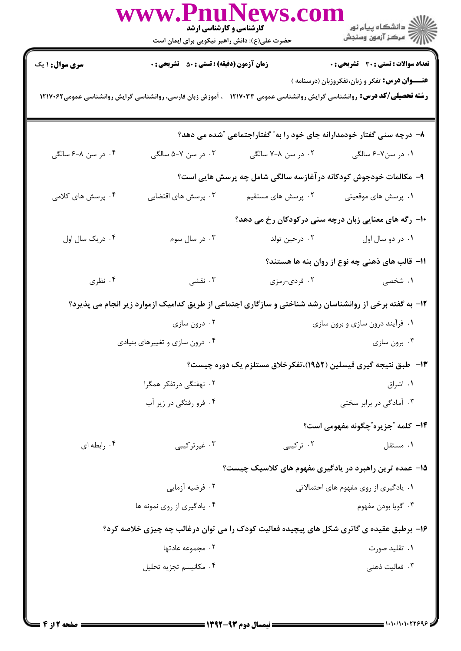|                                                                                                                                                                                          | www.Pn<br><b>کارشناسی و کارشناسی ارشد</b><br>حضرت علی(ع): دانش راهبر نیکویی برای ایمان است             |                                                                       | ڪ دانشڪاه پيام نور<br>/> مرڪز آزمون وسنڊش            |  |
|------------------------------------------------------------------------------------------------------------------------------------------------------------------------------------------|--------------------------------------------------------------------------------------------------------|-----------------------------------------------------------------------|------------------------------------------------------|--|
| <b>سری سوال : ۱ یک</b>                                                                                                                                                                   | <b>زمان آزمون (دقیقه) : تستی : 50 ٪ تشریحی : 0</b>                                                     |                                                                       | <b>تعداد سوالات : تستي : 30 ٪ تشريحي : 0</b>         |  |
| <b>عنـــوان درس:</b> تفکر و زبان،تفکروزبان (درسنامه )<br><b>رشته تحصیلی/کد درس:</b> روانشناسی گرایش روانشناسی عمومی ۱۲۱۷۰۳۳ - ، آموزش زبان فارسی، روانشناسی گرایش روانشناسی عمومی۱۲۱۷۰۶۲ |                                                                                                        |                                                                       |                                                      |  |
|                                                                                                                                                                                          |                                                                                                        | ۸− درچه سنی گفتار خودمدارانه جای خود را به″ گفتاراجتماعی ″شده می دهد؟ |                                                      |  |
| ۰۴ در سن ۸-۶ سالگی                                                                                                                                                                       | ۰۳ در سن ۷-۵ سالگی                                                                                     | ۰۲ در سن ۸–۷ سالگی                                                    | ۰۱ در سن۷-۶ سالگی                                    |  |
|                                                                                                                                                                                          |                                                                                                        | ۹– مکالمات خودجوش کودکانه در آغازسه سالگی شامل چه پرسش هایی است؟      |                                                      |  |
| ۰۴ پرسش های کلامی                                                                                                                                                                        | ۰۳ پرسش های اقتضایی                                                                                    | ۰۲ پرسش های مستقیم                                                    | ۰۱ پرسش های موقعیتی                                  |  |
|                                                                                                                                                                                          |                                                                                                        |                                                                       | ∙ا− رگه های معنایی زبان درچه سنی درکودکان رخ می دهد؟ |  |
| ۰۴ دریک سال اول                                                                                                                                                                          | ۰۳ در سال سوم                                                                                          | ۰۲ درحين تولد                                                         | ۰۱ در دو سال اول                                     |  |
|                                                                                                                                                                                          |                                                                                                        |                                                                       | 11- قالب های ذهنی چه نوع از روان بنه ها هستند؟       |  |
| ۰۴ نظری                                                                                                                                                                                  | ۰۳ نقشی                                                                                                | ۰۲ فردی-رمزی                                                          | ۱. شخصی                                              |  |
|                                                                                                                                                                                          | ۱۲- به گفته برخی از روانشناسان رشد شناختی و سازگاری اجتماعی از طریق کدامیک ازموارد زیر انجام می پذیرد؟ |                                                                       |                                                      |  |
|                                                                                                                                                                                          | ۰۲ درون سازي                                                                                           |                                                                       | ۰۱ فرآیند درون سازی و برون سازی                      |  |
|                                                                                                                                                                                          | ۰۴ درون سازی و تغییرهای بنیادی                                                                         |                                                                       | ۰۳ برون سازی                                         |  |
|                                                                                                                                                                                          |                                                                                                        | ۱۳- طبق نتیجه گیری قیسلین (۱۹۵۲)،تفکرخلاق مستلزم یک دوره چیست؟        |                                                      |  |
|                                                                                                                                                                                          | ۰۲ نهفتگی در تفکر همگرا                                                                                |                                                                       | ۰۱ اشراق                                             |  |
|                                                                                                                                                                                          | ۰۴ فرو رفتگی در زیر آب                                                                                 |                                                                       | ۰۳ آمادگی در برابر سختی                              |  |
|                                                                                                                                                                                          |                                                                                                        |                                                                       | ۱۴- کلمه "جزیره"چگونه مفهومی است؟                    |  |
| ۰۴ رابطه ای                                                                                                                                                                              | ۰۳ غیر ترکیبی                                                                                          | ۰۲ ترکیبی                                                             | ۰۱ مستقل                                             |  |
|                                                                                                                                                                                          |                                                                                                        | ۱۵– عمده ترین راهبرد در یادگیری مفهوم های کلاسیک چیست؟                |                                                      |  |
|                                                                                                                                                                                          | ۰۲ فرضیه آزمایی                                                                                        |                                                                       | ۰۱ یادگیری از روی مفهوم های احتمالاتی                |  |
| ۰۴ یادگیری از روی نمونه ها                                                                                                                                                               |                                                                                                        |                                                                       | ۰۳ گويا بودن مفهوم                                   |  |
| ۱۶- برطبق عقیده ی گاتری شکل های پیچیده فعالیت کودک را می توان درغالب چه چیزی خلاصه کرد؟                                                                                                  |                                                                                                        |                                                                       |                                                      |  |
|                                                                                                                                                                                          | ۰۲ مجموعه عادتها                                                                                       |                                                                       | ۰۱ تقلید صورت                                        |  |
|                                                                                                                                                                                          | ۰۴ مكانيسم تجزيه تحليل                                                                                 |                                                                       | ۰۳ فعالیت ذهنی                                       |  |
|                                                                                                                                                                                          |                                                                                                        |                                                                       |                                                      |  |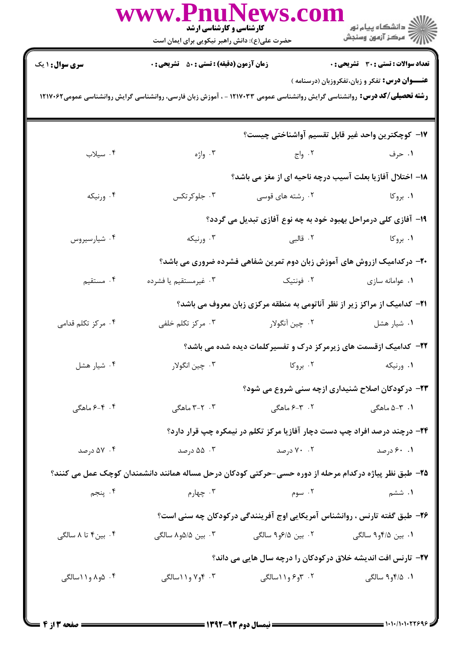|                                                                                                                                                                                          | www.PnuNews.col<br><b>کارشناسی و کارشناسی ارشد</b><br>حضرت علی(ع): دانش راهبر نیکویی برای ایمان است |                                | الاڪ دانشڪاه پيام نور<br>الاڪ مرڪز آزمون وسنڊش                                                        |  |  |
|------------------------------------------------------------------------------------------------------------------------------------------------------------------------------------------|-----------------------------------------------------------------------------------------------------|--------------------------------|-------------------------------------------------------------------------------------------------------|--|--|
| <b>سری سوال : ۱ یک</b>                                                                                                                                                                   | <b>زمان آزمون (دقیقه) : تستی : 50 ٪ تشریحی : 0</b>                                                  |                                | <b>تعداد سوالات : تستی : 30 ٪ تشریحی : 0</b>                                                          |  |  |
| <b>عنـــوان درس:</b> تفکر و زبان،تفکروزبان (درسنامه )<br><b>رشته تحصیلی/کد درس:</b> روانشناسی گرایش روانشناسی عمومی ۱۲۱۷۰۳۳ - ، آموزش زبان فارسی، روانشناسی گرایش روانشناسی عمومی۱۲۱۷۰۶۲ |                                                                                                     |                                |                                                                                                       |  |  |
|                                                                                                                                                                                          |                                                                                                     |                                | 17– كوچكترين واحد غير قابل تقسيم آواشناختي چيست؟                                                      |  |  |
| ۰۴ سیلاب                                                                                                                                                                                 | ۰۳ واژه                                                                                             | ۰۲ واج                         | ۰۱ حرف                                                                                                |  |  |
|                                                                                                                                                                                          |                                                                                                     |                                | ۱۸– اختلال آفازیا بعلت آسیب درچه ناحیه ای از مغز می باشد؟                                             |  |  |
| ۰۴ ورنيکه                                                                                                                                                                                | ۰۳ جلوکرتکس                                                                                         | ۰۲ رشته های قوسی               | ۰۱ بروکا                                                                                              |  |  |
|                                                                                                                                                                                          |                                                                                                     |                                | ۱۹- آفازی کلی درمراحل بهبود خود به چه نوع آفازی تبدیل می گردد؟                                        |  |  |
| ۰۴ شیارسیروس                                                                                                                                                                             | ۰۳ ورنیکه                                                                                           | ۰۲ قالبی                       | ۰۱ بروکا                                                                                              |  |  |
|                                                                                                                                                                                          |                                                                                                     |                                | +۲- درکدامیک ازروش های آموزش زبان دوم تمرین شفاهی فشرده ضروری می باشد؟                                |  |  |
| ۰۴ مستقیم                                                                                                                                                                                | ۰۳ غیرمستقیم یا فشرده                                                                               | ۰۲ فونتیک                      | ٠١ عوامانه سازى                                                                                       |  |  |
|                                                                                                                                                                                          |                                                                                                     |                                | <b>۲۱</b> - کدامیک از مراکز زیر از نظر آناتومی به منطقه مرکزی زبان معروف می باشد؟                     |  |  |
| ۰۴ مرکز تکلم قدامی                                                                                                                                                                       | ۰۳ مرکز تکلم خلفی                                                                                   | ۰۲ چين آنگولار                 | ۰۱ شیار هشل                                                                                           |  |  |
|                                                                                                                                                                                          |                                                                                                     |                                | <b>۲۲</b> - کدامیک ازقسمت های زیرمرکز درک و تفسیرکلمات دیده شده می باشد؟                              |  |  |
| ۰۴ شیار هشل                                                                                                                                                                              | ۰۳ چين انگولار                                                                                      | ۰۲ بروکا                       | ٠١ ورنيكه                                                                                             |  |  |
|                                                                                                                                                                                          |                                                                                                     |                                | ۲۳- درکودکان اصلاح شنیداری ازچه سنی شروع می شود؟                                                      |  |  |
| ۰۴ - ۶–۶ ماهگی                                                                                                                                                                           | ۰۳ - ۳–۳ ماهگی                                                                                      | ۰۲ ۳-۶ ماهگی                   | ۰۱ ۳-۵ ماهگی                                                                                          |  |  |
|                                                                                                                                                                                          |                                                                                                     |                                | <b>۲۴</b> - درچند درصد افراد چپ دست دچار آفازیا مرکز تکلم در نیمکره چپ قرار دارد؟                     |  |  |
| ۵۷ ۰۴ درصد                                                                                                                                                                               | ۰۳ ۵۵ درصد                                                                                          | ۰۲ درصد                        | ۰.۱ ۶۰ درصد                                                                                           |  |  |
|                                                                                                                                                                                          |                                                                                                     |                                | ۲۵- طبق نظر پیاژه درکدام مرحله از دوره حسی-حرکتی کودکان درحل مساله همانند دانشمندان کوچک عمل می کنند؟ |  |  |
| ۰۴ پنجم                                                                                                                                                                                  | ۰۳ چهارم                                                                                            | ۰۲ سوم                         | ۰۱ ششم                                                                                                |  |  |
|                                                                                                                                                                                          |                                                                                                     |                                | ۲۶- طبق گفته تارنس ، روانشناس آمریکایی اوج آفرینندگی درکودکان چه سنی است؟                             |  |  |
| ۰۴ بین۴ تا ۸ سالگی                                                                                                                                                                       | ۰۳ بین ۵/۵و۸ سالگی                                                                                  | ۰۲ بین ۶/۵و۹ سالگ <sub>ی</sub> | ۰۱ بین ۴/۵و۹ سالگی                                                                                    |  |  |
|                                                                                                                                                                                          | ۲۷- تارنس افت اندیشه خلاق درکودکان را درچه سال هایی می داند؟                                        |                                |                                                                                                       |  |  |
| ۰۴ ۵و۸ و۱۱سالگی                                                                                                                                                                          | ۰۳ و۷ و۱۱سالگی                                                                                      | ۲. ۳و۶ و۱۱سالگی                | ۰۱ ۲/۵و۹ سالگی                                                                                        |  |  |
|                                                                                                                                                                                          |                                                                                                     |                                |                                                                                                       |  |  |